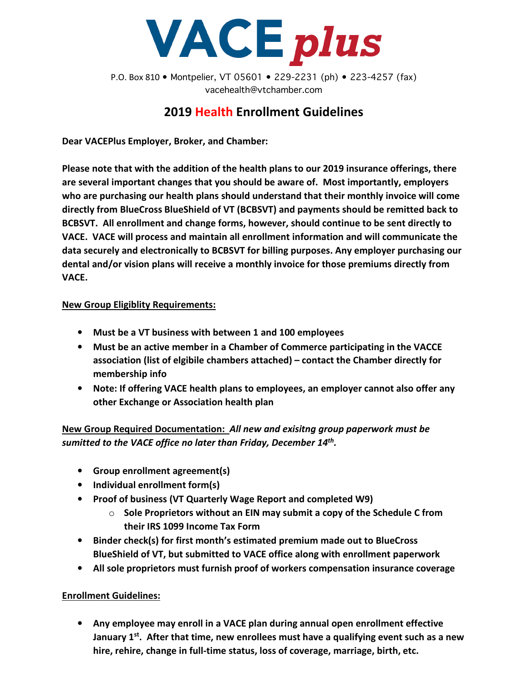

P.O. Box 810 • Montpelier, VT 05601 • 229-2231 (ph) • 223-4257 (fax) vacehealth@vtchamber.com

## 2019 Health Enrollment Guidelines

Dear VACEPlus Employer, Broker, and Chamber:

Please note that with the addition of the health plans to our 2019 insurance offerings, there are several important changes that you should be aware of. Most importantly, employers who are purchasing our health plans should understand that their monthly invoice will come directly from BlueCross BlueShield of VT (BCBSVT) and payments should be remitted back to BCBSVT. All enrollment and change forms, however, should continue to be sent directly to VACE. VACE will process and maintain all enrollment information and will communicate the data securely and electronically to BCBSVT for billing purposes. Any employer purchasing our dental and/or vision plans will receive a monthly invoice for those premiums directly from VACE.

## New Group Eligiblity Requirements:

- Must be a VT business with between 1 and 100 employees
- Must be an active member in a Chamber of Commerce participating in the VACCE association (list of elgibile chambers attached) – contact the Chamber directly for membership info
- Note: If offering VACE health plans to employees, an employer cannot also offer any other Exchange or Association health plan

New Group Required Documentation: All new and exisitng group paperwork must be sumitted to the VACE office no later than Friday, December  $14<sup>th</sup>$ .

- Group enrollment agreement(s)
- Individual enrollment form(s)
- Proof of business (VT Quarterly Wage Report and completed W9)
	- $\circ$  Sole Proprietors without an EIN may submit a copy of the Schedule C from their IRS 1099 Income Tax Form
- Binder check(s) for first month's estimated premium made out to BlueCross BlueShield of VT, but submitted to VACE office along with enrollment paperwork
- All sole proprietors must furnish proof of workers compensation insurance coverage

Enrollment Guidelines:

• Any employee may enroll in a VACE plan during annual open enrollment effective January  $1^{st}$ . After that time, new enrollees must have a qualifying event such as a new hire, rehire, change in full-time status, loss of coverage, marriage, birth, etc.